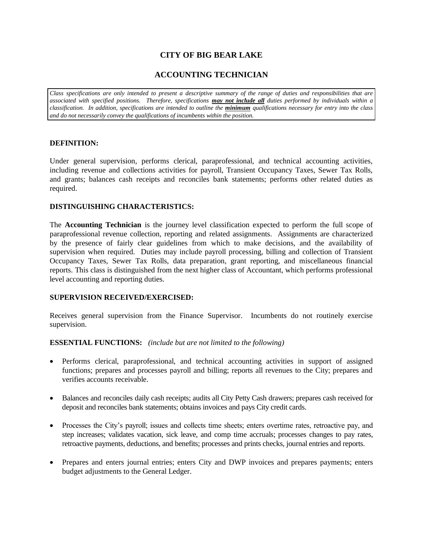# **CITY OF BIG BEAR LAKE**

## **ACCOUNTING TECHNICIAN**

*Class specifications are only intended to present a descriptive summary of the range of duties and responsibilities that are associated with specified positions. Therefore, specifications may not include all duties performed by individuals within a classification. In addition, specifications are intended to outline the minimum qualifications necessary for entry into the class and do not necessarily convey the qualifications of incumbents within the position.*

#### **DEFINITION:**

Under general supervision, performs clerical, paraprofessional, and technical accounting activities, including revenue and collections activities for payroll, Transient Occupancy Taxes, Sewer Tax Rolls, and grants; balances cash receipts and reconciles bank statements; performs other related duties as required.

## **DISTINGUISHING CHARACTERISTICS:**

The **Accounting Technician** is the journey level classification expected to perform the full scope of paraprofessional revenue collection, reporting and related assignments. Assignments are characterized by the presence of fairly clear guidelines from which to make decisions, and the availability of supervision when required. Duties may include payroll processing, billing and collection of Transient Occupancy Taxes, Sewer Tax Rolls, data preparation, grant reporting, and miscellaneous financial reports. This class is distinguished from the next higher class of Accountant, which performs professional level accounting and reporting duties.

#### **SUPERVISION RECEIVED/EXERCISED:**

Receives general supervision from the Finance Supervisor. Incumbents do not routinely exercise supervision.

#### **ESSENTIAL FUNCTIONS:** *(include but are not limited to the following)*

- Performs clerical, paraprofessional, and technical accounting activities in support of assigned functions; prepares and processes payroll and billing; reports all revenues to the City; prepares and verifies accounts receivable.
- Balances and reconciles daily cash receipts; audits all City Petty Cash drawers; prepares cash received for deposit and reconciles bank statements; obtains invoices and pays City credit cards.
- Processes the City's payroll; issues and collects time sheets; enters overtime rates, retroactive pay, and step increases; validates vacation, sick leave, and comp time accruals; processes changes to pay rates, retroactive payments, deductions, and benefits; processes and prints checks, journal entries and reports.
- Prepares and enters journal entries; enters City and DWP invoices and prepares payments; enters budget adjustments to the General Ledger.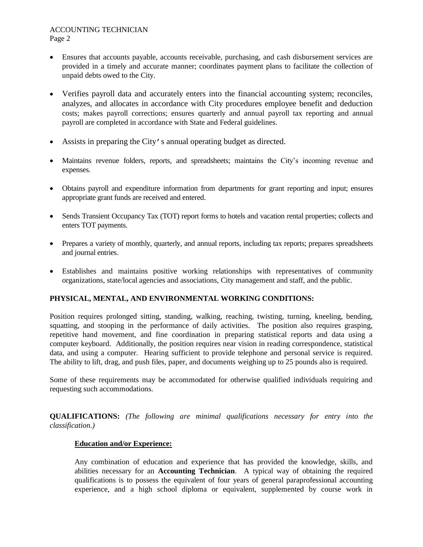#### ACCOUNTING TECHNICIAN Page 2

- Ensures that accounts payable, accounts receivable, purchasing, and cash disbursement services are provided in a timely and accurate manner; coordinates payment plans to facilitate the collection of unpaid debts owed to the City.
- Verifies payroll data and accurately enters into the financial accounting system; reconciles, analyzes, and allocates in accordance with City procedures employee benefit and deduction costs; makes payroll corrections; ensures quarterly and annual payroll tax reporting and annual payroll are completed in accordance with State and Federal guidelines.
- Assists in preparing the City's annual operating budget as directed.
- Maintains revenue folders, reports, and spreadsheets; maintains the City's incoming revenue and expenses.
- Obtains payroll and expenditure information from departments for grant reporting and input; ensures appropriate grant funds are received and entered.
- Sends Transient Occupancy Tax (TOT) report forms to hotels and vacation rental properties; collects and enters TOT payments.
- Prepares a variety of monthly, quarterly, and annual reports, including tax reports; prepares spreadsheets and journal entries.
- Establishes and maintains positive working relationships with representatives of community organizations, state/local agencies and associations, City management and staff, and the public.

## **PHYSICAL, MENTAL, AND ENVIRONMENTAL WORKING CONDITIONS:**

Position requires prolonged sitting, standing, walking, reaching, twisting, turning, kneeling, bending, squatting, and stooping in the performance of daily activities. The position also requires grasping, repetitive hand movement, and fine coordination in preparing statistical reports and data using a computer keyboard. Additionally, the position requires near vision in reading correspondence, statistical data, and using a computer. Hearing sufficient to provide telephone and personal service is required. The ability to lift, drag, and push files, paper, and documents weighing up to 25 pounds also is required.

Some of these requirements may be accommodated for otherwise qualified individuals requiring and requesting such accommodations.

**QUALIFICATIONS:** *(The following are minimal qualifications necessary for entry into the classification.)*

## **Education and/or Experience:**

Any combination of education and experience that has provided the knowledge, skills, and abilities necessary for an **Accounting Technician**. A typical way of obtaining the required qualifications is to possess the equivalent of four years of general paraprofessional accounting experience, and a high school diploma or equivalent, supplemented by course work in